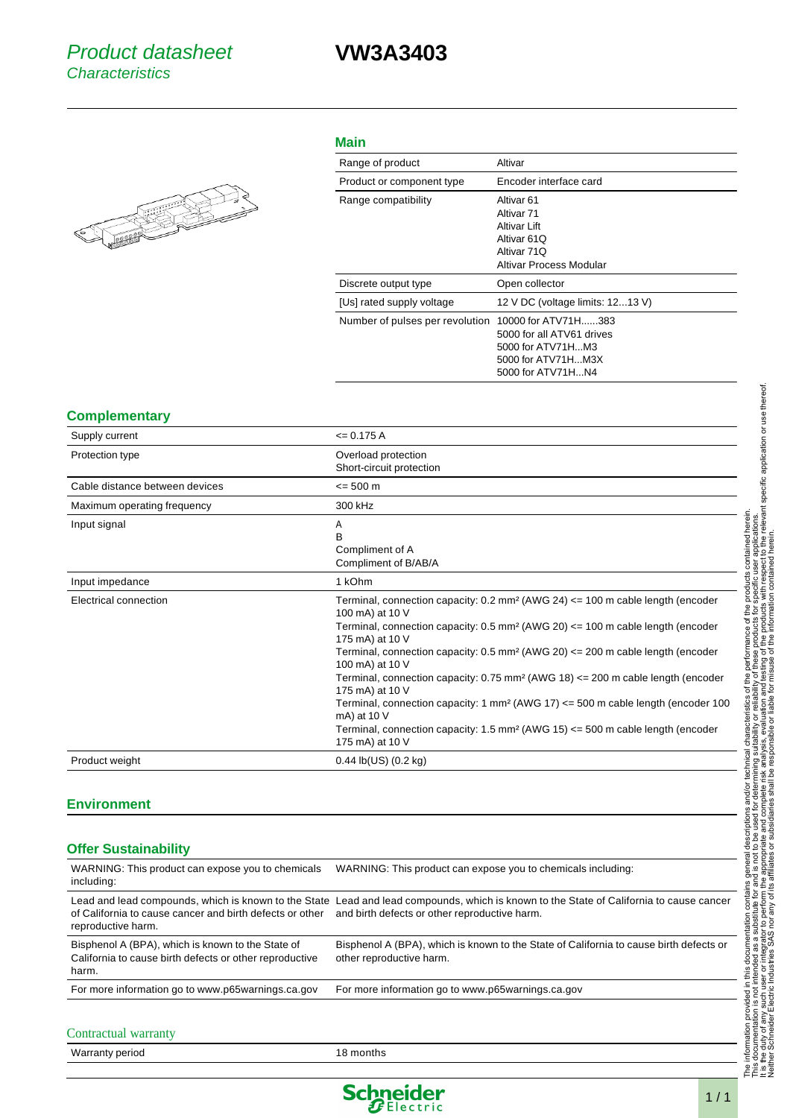## **VW3A3403**



| I   |
|-----|
| ___ |
|     |

| Main                            |                                                                                                                          |
|---------------------------------|--------------------------------------------------------------------------------------------------------------------------|
| Range of product                | Altivar                                                                                                                  |
| Product or component type       | Encoder interface card                                                                                                   |
| Range compatibility             | Altivar <sub>61</sub><br>Altivar <sub>71</sub><br>Altivar I ift<br>Altivar 61Q<br>Altivar 71Q<br>Altivar Process Modular |
| Discrete output type            | Open collector                                                                                                           |
| [Us] rated supply voltage       | 12 V DC (voltage limits: 1213 V)                                                                                         |
| Number of pulses per revolution | 10000 for ATV71H383<br>5000 for all ATV61 drives<br>5000 for ATV71HM3<br>5000 for ATV71HM3X<br>5000 for ATV71HN4         |

### **Complementary**

| Supply current                 | $\leq$ 0.175 A                                                                                                                                                                                                                                                                                                                                                                                                                                                                                                                                                                                                                                                                                                                 |
|--------------------------------|--------------------------------------------------------------------------------------------------------------------------------------------------------------------------------------------------------------------------------------------------------------------------------------------------------------------------------------------------------------------------------------------------------------------------------------------------------------------------------------------------------------------------------------------------------------------------------------------------------------------------------------------------------------------------------------------------------------------------------|
| Protection type                | Overload protection<br>Short-circuit protection                                                                                                                                                                                                                                                                                                                                                                                                                                                                                                                                                                                                                                                                                |
| Cable distance between devices | $= 500 \text{ m}$                                                                                                                                                                                                                                                                                                                                                                                                                                                                                                                                                                                                                                                                                                              |
| Maximum operating frequency    | 300 kHz                                                                                                                                                                                                                                                                                                                                                                                                                                                                                                                                                                                                                                                                                                                        |
| Input signal                   | A<br>B<br>Compliment of A<br>Compliment of B/AB/A                                                                                                                                                                                                                                                                                                                                                                                                                                                                                                                                                                                                                                                                              |
| Input impedance                | 1 kOhm                                                                                                                                                                                                                                                                                                                                                                                                                                                                                                                                                                                                                                                                                                                         |
| Electrical connection          | Terminal, connection capacity: $0.2$ mm <sup>2</sup> (AWG 24) $\leq$ 100 m cable length (encoder<br>100 mA) at 10 V<br>Terminal, connection capacity: $0.5$ mm <sup>2</sup> (AWG 20) $\leq$ 100 m cable length (encoder<br>175 mA) at 10 V<br>Terminal, connection capacity: $0.5$ mm <sup>2</sup> (AWG 20) $\lt$ = 200 m cable length (encoder<br>100 mA) at 10 V<br>Terminal, connection capacity: 0.75 mm <sup>2</sup> (AWG 18) <= 200 m cable length (encoder<br>175 mA) at 10 V<br>Terminal, connection capacity: 1 mm <sup>2</sup> (AWG 17) $\lt$ = 500 m cable length (encoder 100<br>mA) at 10 V<br>Terminal, connection capacity: $1.5$ mm <sup>2</sup> (AWG $15$ ) <= 500 m cable length (encoder<br>175 mA) at 10 V |
| Product weight                 | $0.44$ lb(US) $(0.2$ kg)                                                                                                                                                                                                                                                                                                                                                                                                                                                                                                                                                                                                                                                                                                       |

#### **Environment**

#### **Offer Sustainability**

| WARNING: This product can expose you to chemicals<br>including:                                                                        | WARNING: This product can expose you to chemicals including:                                                                        |
|----------------------------------------------------------------------------------------------------------------------------------------|-------------------------------------------------------------------------------------------------------------------------------------|
| Lead and lead compounds, which is known to the State<br>of California to cause cancer and birth defects or other<br>reproductive harm. | Lead and lead compounds, which is known to the State of California to cause cancer<br>and birth defects or other reproductive harm. |
| Bisphenol A (BPA), which is known to the State of<br>California to cause birth defects or other reproductive<br>harm.                  | Bisphenol A (BPA), which is known to the State of California to cause birth defects or<br>other reproductive harm.                  |
| For more information go to www.p65warnings.ca.gov                                                                                      | For more information go to www.p65warnings.ca.gov                                                                                   |
|                                                                                                                                        |                                                                                                                                     |

#### Contractual warranty

Warranty period 18 months



 $1 / 1$ 

Neither Schneider Electric Industries SAS nor any of its affiliates or subsidiaries shall be responsible or liable for misuse of the information contained herein.

relevant specific application or use thereof.